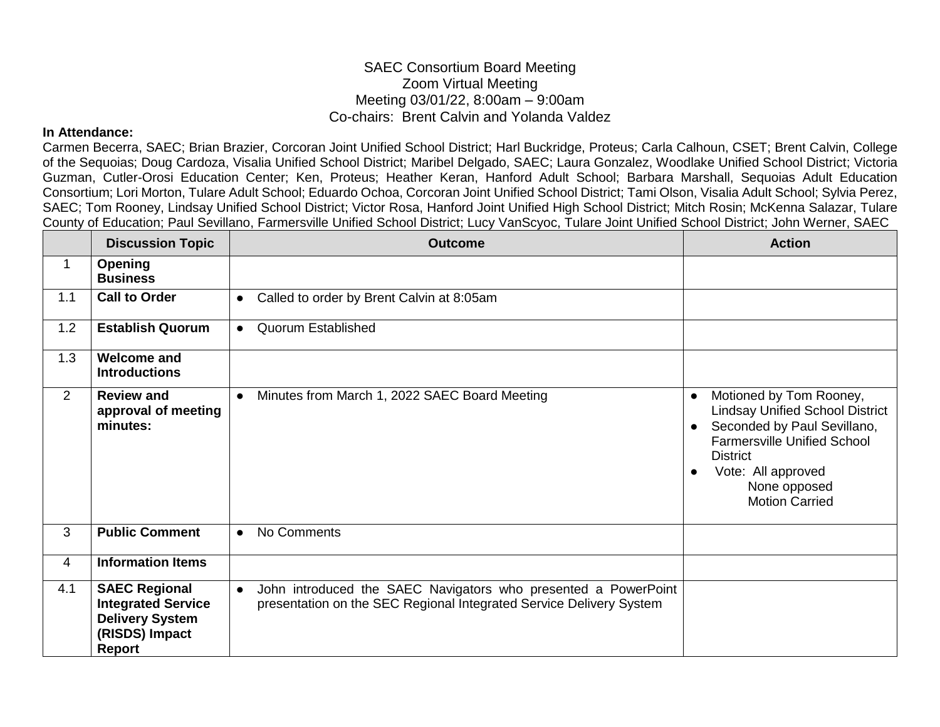## SAEC Consortium Board Meeting Zoom Virtual Meeting Meeting 03/01/22, 8:00am – 9:00am Co-chairs: Brent Calvin and Yolanda Valdez

## **In Attendance:**

Carmen Becerra, SAEC; Brian Brazier, Corcoran Joint Unified School District; Harl Buckridge, Proteus; Carla Calhoun, CSET; Brent Calvin, College of the Sequoias; Doug Cardoza, Visalia Unified School District; Maribel Delgado, SAEC; Laura Gonzalez, Woodlake Unified School District; Victoria Guzman, Cutler-Orosi Education Center; Ken, Proteus; Heather Keran, Hanford Adult School; Barbara Marshall, Sequoias Adult Education Consortium; Lori Morton, Tulare Adult School; Eduardo Ochoa, Corcoran Joint Unified School District; Tami Olson, Visalia Adult School; Sylvia Perez, SAEC; Tom Rooney, Lindsay Unified School District; Victor Rosa, Hanford Joint Unified High School District; Mitch Rosin; McKenna Salazar, Tulare County of Education; Paul Sevillano, Farmersville Unified School District; Lucy VanScyoc, Tulare Joint Unified School District; John Werner, SAEC

|                | <b>Discussion Topic</b>                                                                                 | <b>Outcome</b>                                                                                                                                     | <b>Action</b>                                                                                                                                                                                                                         |
|----------------|---------------------------------------------------------------------------------------------------------|----------------------------------------------------------------------------------------------------------------------------------------------------|---------------------------------------------------------------------------------------------------------------------------------------------------------------------------------------------------------------------------------------|
| 1              | <b>Opening</b><br><b>Business</b>                                                                       |                                                                                                                                                    |                                                                                                                                                                                                                                       |
| 1.1            | <b>Call to Order</b>                                                                                    | Called to order by Brent Calvin at 8:05am<br>$\bullet$                                                                                             |                                                                                                                                                                                                                                       |
| 1.2            | <b>Establish Quorum</b>                                                                                 | <b>Quorum Established</b><br>$\bullet$                                                                                                             |                                                                                                                                                                                                                                       |
| 1.3            | <b>Welcome and</b><br><b>Introductions</b>                                                              |                                                                                                                                                    |                                                                                                                                                                                                                                       |
| $\overline{2}$ | <b>Review and</b><br>approval of meeting<br>minutes:                                                    | Minutes from March 1, 2022 SAEC Board Meeting<br>$\bullet$                                                                                         | Motioned by Tom Rooney,<br>$\bullet$<br><b>Lindsay Unified School District</b><br>Seconded by Paul Sevillano,<br><b>Farmersville Unified School</b><br><b>District</b><br>Vote: All approved<br>None opposed<br><b>Motion Carried</b> |
| 3              | <b>Public Comment</b>                                                                                   | No Comments<br>$\bullet$                                                                                                                           |                                                                                                                                                                                                                                       |
| 4              | <b>Information Items</b>                                                                                |                                                                                                                                                    |                                                                                                                                                                                                                                       |
| 4.1            | <b>SAEC Regional</b><br><b>Integrated Service</b><br><b>Delivery System</b><br>(RISDS) Impact<br>Report | John introduced the SAEC Navigators who presented a PowerPoint<br>$\bullet$<br>presentation on the SEC Regional Integrated Service Delivery System |                                                                                                                                                                                                                                       |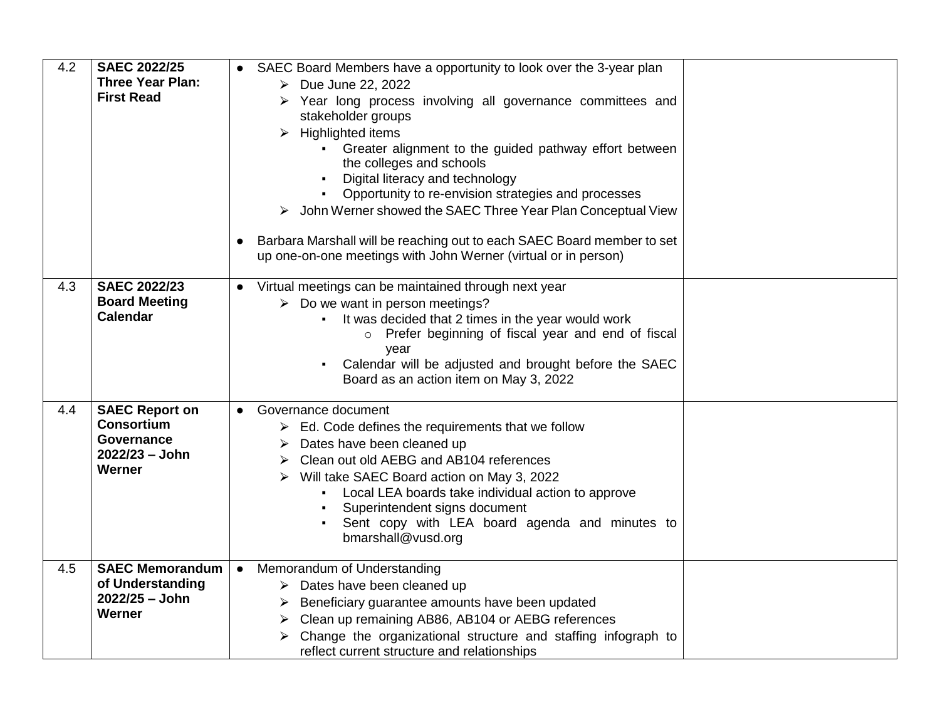| 4.2 | <b>SAEC 2022/25</b><br><b>Three Year Plan:</b><br><b>First Read</b>                         | SAEC Board Members have a opportunity to look over the 3-year plan<br>$\triangleright$ Due June 22, 2022<br>Year long process involving all governance committees and<br>⋗<br>stakeholder groups<br>$\triangleright$ Highlighted items<br>• Greater alignment to the guided pathway effort between<br>the colleges and schools<br>Digital literacy and technology<br>$\blacksquare$<br>Opportunity to re-envision strategies and processes<br>John Werner showed the SAEC Three Year Plan Conceptual View |
|-----|---------------------------------------------------------------------------------------------|-----------------------------------------------------------------------------------------------------------------------------------------------------------------------------------------------------------------------------------------------------------------------------------------------------------------------------------------------------------------------------------------------------------------------------------------------------------------------------------------------------------|
|     |                                                                                             | Barbara Marshall will be reaching out to each SAEC Board member to set<br>$\bullet$<br>up one-on-one meetings with John Werner (virtual or in person)                                                                                                                                                                                                                                                                                                                                                     |
| 4.3 | <b>SAEC 2022/23</b><br><b>Board Meeting</b><br><b>Calendar</b>                              | Virtual meetings can be maintained through next year<br>$\bullet$<br>$\triangleright$ Do we want in person meetings?<br>It was decided that 2 times in the year would work<br>o Prefer beginning of fiscal year and end of fiscal<br>vear<br>Calendar will be adjusted and brought before the SAEC<br>$\blacksquare$<br>Board as an action item on May 3, 2022                                                                                                                                            |
| 4.4 | <b>SAEC Report on</b><br><b>Consortium</b><br><b>Governance</b><br>2022/23 - John<br>Werner | Governance document<br>$\bullet$<br>$\triangleright$ Ed. Code defines the requirements that we follow<br>Dates have been cleaned up<br>➤<br>Clean out old AEBG and AB104 references<br>Will take SAEC Board action on May 3, 2022<br>➤<br>Local LEA boards take individual action to approve<br>Superintendent signs document<br>Sent copy with LEA board agenda and minutes to<br>bmarshall@vusd.org                                                                                                     |
| 4.5 | <b>SAEC Memorandum</b><br>of Understanding<br>2022/25 - John<br>Werner                      | Memorandum of Understanding<br>$\bullet$<br>$\triangleright$ Dates have been cleaned up<br>Beneficiary guarantee amounts have been updated<br>➤<br>Clean up remaining AB86, AB104 or AEBG references<br>➤<br>Change the organizational structure and staffing infograph to<br>reflect current structure and relationships                                                                                                                                                                                 |